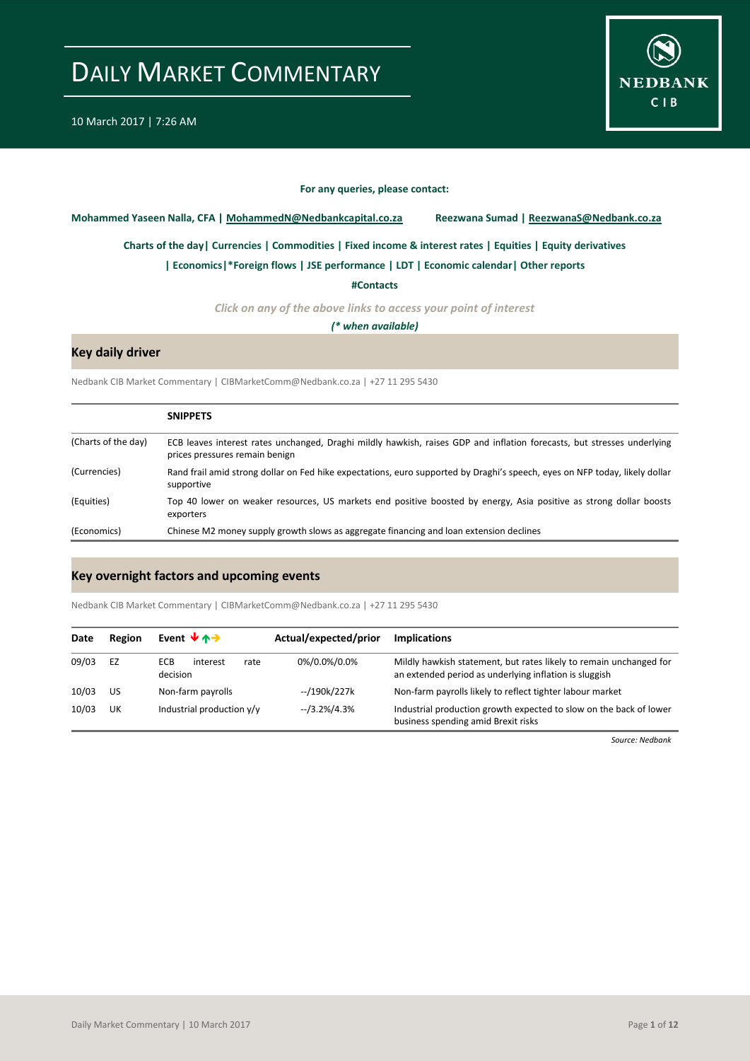

#### **For any queries, please contact:**

<span id="page-0-0"></span>**Mohammed Yaseen Nalla, CFA | MohammedN@Nedbankcapital.co.za Reezwana Sumad | ReezwanaS@Nedbank.co.za**

**[Charts of the day|](#page-1-0) [Currencies](#page-2-0) [| Commodities](#page-3-0) | [Fixed income & interest rates](#page-4-0) [| Equities](#page-5-0) | Equity derivatives**

**[| Economics|](#page-6-0)\*Foreign flows | [JSE performance](#page-7-0) [| LDT](#page-8-0) [| Economic calendar|](#page-9-0) Other reports** 

**[#Contacts](#page-10-0)**

*Click on any of the above links to access your point of interest*

*(\* when available)*

### **Key daily driver**

Nedbank CIB Market Commentary | CIBMarketComm@Nedbank.co.za | +27 11 295 5430

|                     | <b>SNIPPETS</b>                                                                                                                                           |
|---------------------|-----------------------------------------------------------------------------------------------------------------------------------------------------------|
| (Charts of the day) | ECB leaves interest rates unchanged, Draghi mildly hawkish, raises GDP and inflation forecasts, but stresses underlying<br>prices pressures remain benign |
| (Currencies)        | Rand frail amid strong dollar on Fed hike expectations, euro supported by Draghi's speech, eyes on NFP today, likely dollar<br>supportive                 |
| (Equities)          | Top 40 lower on weaker resources, US markets end positive boosted by energy, Asia positive as strong dollar boosts<br>exporters                           |
| (Economics)         | Chinese M2 money supply growth slows as aggregate financing and loan extension declines                                                                   |

### **Key overnight factors and upcoming events**

Nedbank CIB Market Commentary | CIBMarketComm@Nedbank.co.za | +27 11 295 5430

| Date  | Region | Event $\forall$ $\land \rightarrow$        | Actual/expected/prior | <b>Implications</b>                                                                                                          |
|-------|--------|--------------------------------------------|-----------------------|------------------------------------------------------------------------------------------------------------------------------|
| 09/03 | EZ     | <b>ECB</b><br>interest<br>rate<br>decision | 0%/0.0%/0.0%          | Mildly hawkish statement, but rates likely to remain unchanged for<br>an extended period as underlying inflation is sluggish |
| 10/03 | US     | Non-farm payrolls                          | --/190k/227k          | Non-farm payrolls likely to reflect tighter labour market                                                                    |
| 10/03 | UK     | Industrial production y/y                  | $-13.2\%/4.3\%$       | Industrial production growth expected to slow on the back of lower<br>business spending amid Brexit risks                    |

*Source: Nedbank*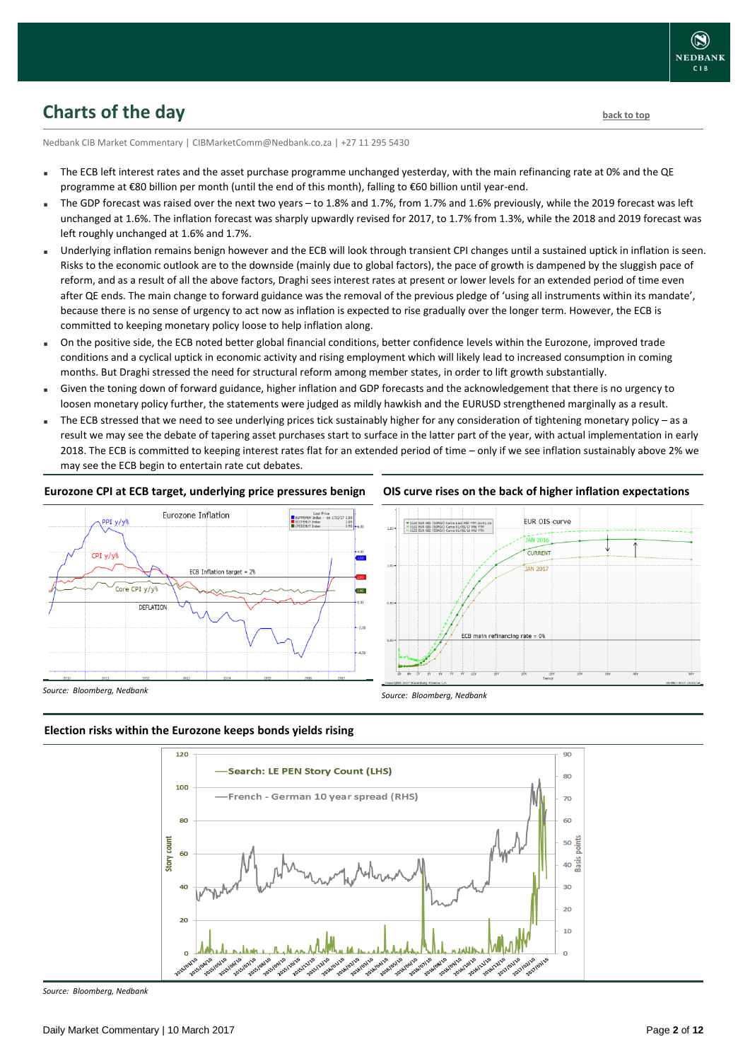## <span id="page-1-0"></span>**Charts of the day** [back to top](#page-0-0) back to top

Nedbank CIB Market Commentary | CIBMarketComm@Nedbank.co.za | +27 11 295 5430

- The ECB left interest rates and the asset purchase programme unchanged yesterday, with the main refinancing rate at 0% and the QE programme at €80 billion per month (until the end of this month), falling to €60 billion until year-end.
- The GDP forecast was raised over the next two years to 1.8% and 1.7%, from 1.7% and 1.6% previously, while the 2019 forecast was left unchanged at 1.6%. The inflation forecast was sharply upwardly revised for 2017, to 1.7% from 1.3%, while the 2018 and 2019 forecast was left roughly unchanged at 1.6% and 1.7%.
- Underlying inflation remains benign however and the ECB will look through transient CPI changes until a sustained uptick in inflation is seen. Risks to the economic outlook are to the downside (mainly due to global factors), the pace of growth is dampened by the sluggish pace of reform, and as a result of all the above factors, Draghi sees interest rates at present or lower levels for an extended period of time even after QE ends. The main change to forward guidance was the removal of the previous pledge of 'using all instruments within its mandate', because there is no sense of urgency to act now as inflation is expected to rise gradually over the longer term. However, the ECB is committed to keeping monetary policy loose to help inflation along.
- On the positive side, the ECB noted better global financial conditions, better confidence levels within the Eurozone, improved trade conditions and a cyclical uptick in economic activity and rising employment which will likely lead to increased consumption in coming months. But Draghi stressed the need for structural reform among member states, in order to lift growth substantially.
- Given the toning down of forward guidance, higher inflation and GDP forecasts and the acknowledgement that there is no urgency to loosen monetary policy further, the statements were judged as mildly hawkish and the EURUSD strengthened marginally as a result.
- The ECB stressed that we need to see underlying prices tick sustainably higher for any consideration of tightening monetary policy as a result we may see the debate of tapering asset purchases start to surface in the latter part of the year, with actual implementation in early 2018. The ECB is committed to keeping interest rates flat for an extended period of time – only if we see inflation sustainably above 2% we may see the ECB begin to entertain rate cut debates.

### **Eurozone CPI at ECB target, underlying price pressures benign**



### **OIS curve rises on the back of higher inflation expectations**



*Source: Bloomberg, Nedbank*

*Source: Bloomberg, Nedbank*

### **Election risks within the Eurozone keeps bonds yields rising**



*Source: Bloomberg, Nedbank*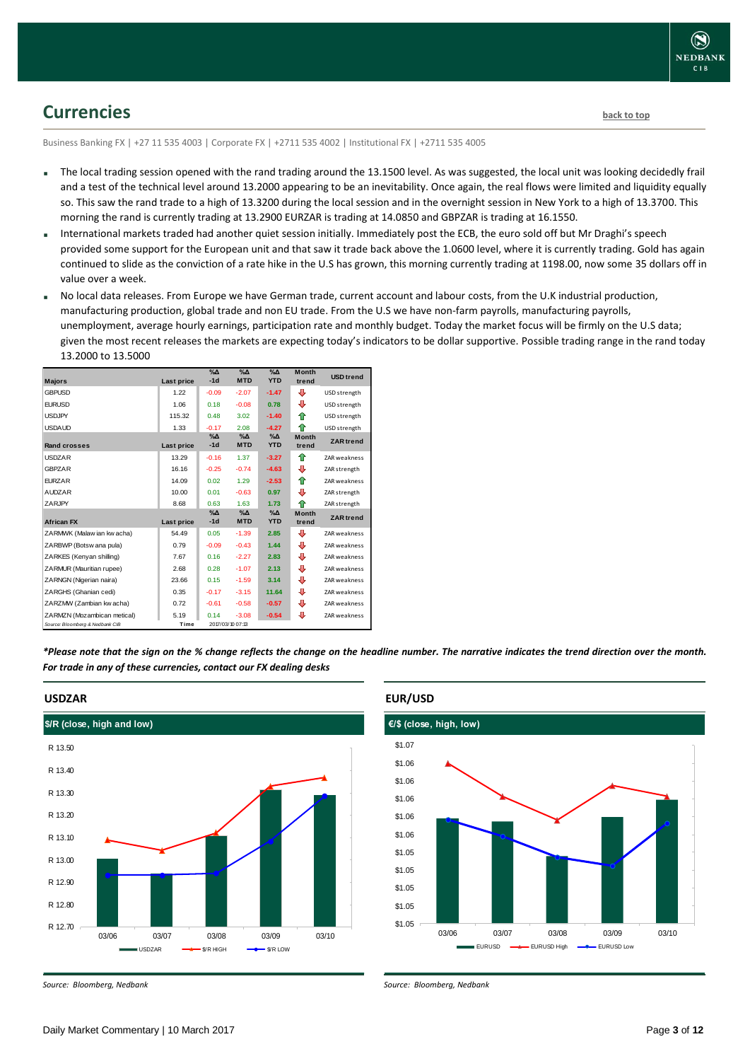## <span id="page-2-0"></span>**Currencies [back to top](#page-0-0)**

Business Banking FX | +27 11 535 4003 | Corporate FX | +2711 535 4002 | Institutional FX | +2711 535 4005

- The local trading session opened with the rand trading around the 13.1500 level. As was suggested, the local unit was looking decidedly frail and a test of the technical level around 13.2000 appearing to be an inevitability. Once again, the real flows were limited and liquidity equally so. This saw the rand trade to a high of 13.3200 during the local session and in the overnight session in New York to a high of 13.3700. This morning the rand is currently trading at 13.2900 EURZAR is trading at 14.0850 and GBPZAR is trading at 16.1550.
- International markets traded had another quiet session initially. Immediately post the ECB, the euro sold off but Mr Draghi's speech provided some support for the European unit and that saw it trade back above the 1.0600 level, where it is currently trading. Gold has again continued to slide as the conviction of a rate hike in the U.S has grown, this morning currently trading at 1198.00, now some 35 dollars off in value over a week.
- No local data releases. From Europe we have German trade, current account and labour costs, from the U.K industrial production, manufacturing production, global trade and non EU trade. From the U.S we have non-farm payrolls, manufacturing payrolls, unemployment, average hourly earnings, participation rate and monthly budget. Today the market focus will be firmly on the U.S data; given the most recent releases the markets are expecting today's indicators to be dollar supportive. Possible trading range in the rand today 13.2000 to 13.5000

| <b>Majors</b>                   | Last price | $\%$ $\Delta$<br>$-1d$ | $\%$ $\Delta$<br><b>MTD</b> | $\Delta_0$<br><b>YTD</b>  | <b>Month</b><br>trend | <b>USD</b> trend    |
|---------------------------------|------------|------------------------|-----------------------------|---------------------------|-----------------------|---------------------|
| <b>GBPUSD</b>                   | 1.22       | $-0.09$                | $-2.07$                     | $-1.47$                   | ⊕                     | USD strength        |
| <b>EURUSD</b>                   | 1.06       | 0.18                   | $-0.08$                     | 0.78                      | ⊕                     | USD strength        |
| <b>USDJPY</b>                   | 115.32     | 0.48                   | 3.02                        | $-1.40$                   | ⇑                     | USD strength        |
| <b>USDAUD</b>                   | 1.33       | $-0.17$                | 2.08                        | $-4.27$                   | ♠                     | USD strength        |
| Rand crosses                    | Last price | $\%$ $\Delta$<br>$-1d$ | $\%$ $\Delta$<br><b>MTD</b> | $\% \Delta$<br><b>YTD</b> | <b>Month</b><br>trend | <b>ZAR</b> trend    |
| <b>USDZAR</b>                   | 13.29      | $-0.16$                | 1.37                        | $-3.27$                   | ♠                     | ZAR weakness        |
| <b>GBPZAR</b>                   | 16.16      | $-0.25$                | $-0.74$                     | $-4.63$                   | ⊕                     | ZAR strength        |
| <b>FURZAR</b>                   | 14.09      | 0.02                   | 1.29                        | $-2.53$                   | ⇑                     | <b>ZAR weakness</b> |
| <b>AUDZAR</b>                   | 10.00      | 0.01                   | $-0.63$                     | 0.97                      | ⊕                     | ZAR strength        |
| ZARJPY                          | 8.68       | 0.63                   | 1.63                        | 1.73                      | ♠                     | ZAR strength        |
| <b>African FX</b>               | Last price | $\%$ $\Delta$<br>$-1d$ | $\%$ $\Delta$<br><b>MTD</b> | $\% \Delta$<br><b>YTD</b> | <b>Month</b><br>trend | <b>ZAR</b> trend    |
| ZARMWK (Malaw ian kw acha)      | 54.49      | 0.05                   | $-1.39$                     | 2.85                      | ⊕                     | <b>ZAR weakness</b> |
| ZARBWP (Botsw ana pula)         | 0.79       | $-0.09$                | $-0.43$                     | 1.44                      | ⊕                     | ZAR weakness        |
| ZARKES (Kenyan shilling)        | 7.67       | 0.16                   | $-2.27$                     | 2.83                      | ⊕                     | <b>ZAR weakness</b> |
| ZARMUR (Mauritian rupee)        | 2.68       | 0.28                   | $-1.07$                     | 2.13                      | ⊕                     | ZAR weakness        |
| ZARNGN (Nigerian naira)         | 23.66      | 0.15                   | $-1.59$                     | 3.14                      | ⊕                     | ZAR weakness        |
| ZARGHS (Ghanian cedi)           | 0.35       | $-0.17$                | $-3.15$                     | 11.64                     | ⊕                     | <b>ZAR weakness</b> |
| ZARZMW (Zambian kw acha)        | 0.72       | $-0.61$                | $-0.58$                     | $-0.57$                   | ⊕                     | ZAR weakness        |
| ZARMZN (Mozambican metical)     | 5.19       | 0.14                   | $-3.08$                     | $-0.54$                   | ⊕                     | ZAR weakness        |
| Source: Bloomberg & Nedbank CIB | Time       |                        | 2017/03/10 07:13            |                           |                       |                     |

*\*Please note that the sign on the % change reflects the change on the headline number. The narrative indicates the trend direction over the month. For trade in any of these currencies, contact our FX dealing desks*



#### **USDZAR**

*Source: Bloomberg, Nedbank*

### **EUR/USD**



*Source: Bloomberg, Nedbank*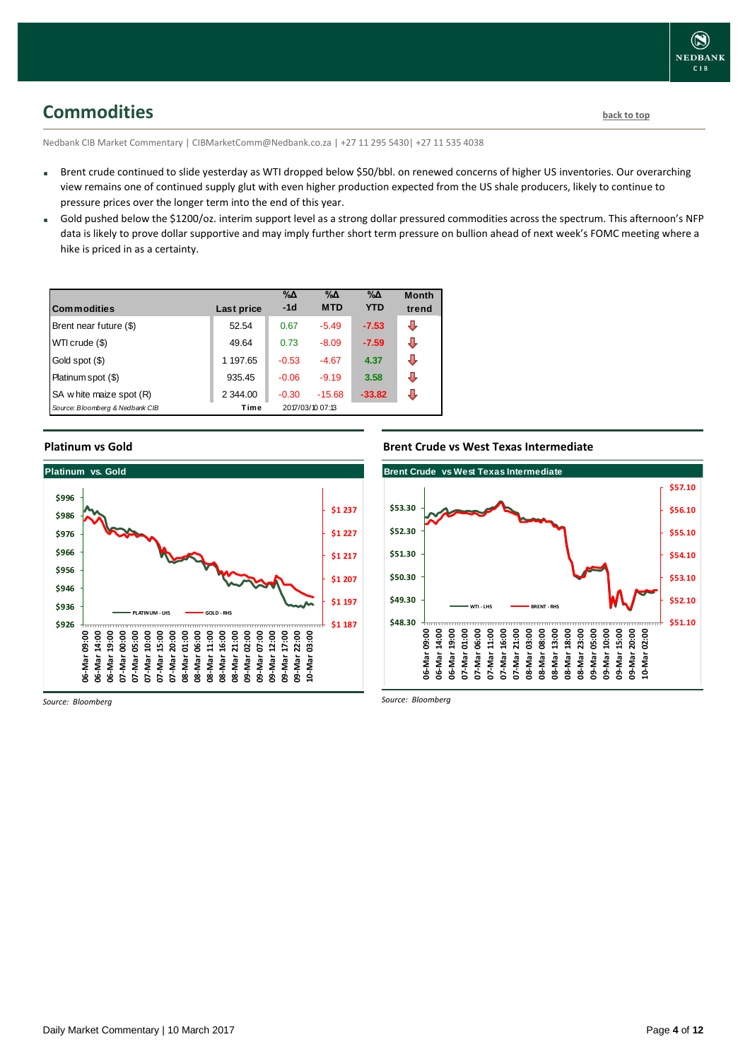## <span id="page-3-0"></span>**Commodities [back to top](#page-0-0)**

Nedbank CIB Market Commentary | CIBMarketComm@Nedbank.co.za | +27 11 295 5430| +27 11 535 4038

- Brent crude continued to slide yesterday as WTI dropped below \$50/bbl. on renewed concerns of higher US inventories. Our overarching view remains one of continued supply glut with even higher production expected from the US shale producers, likely to continue to pressure prices over the longer term into the end of this year.
- Gold pushed below the \$1200/oz. interim support level as a strong dollar pressured commodities across the spectrum. This afternoon's NFP data is likely to prove dollar supportive and may imply further short term pressure on bullion ahead of next week's FOMC meeting where a hike is priced in as a certainty.

| <b>Commodities</b>              | Last price | $\% \Delta$<br>$-1d$ | $\% \Delta$<br><b>MTD</b> | $\% \Delta$<br><b>YTD</b> | <b>Month</b><br>trend |
|---------------------------------|------------|----------------------|---------------------------|---------------------------|-----------------------|
| Brent near future (\$)          | 52.54      | 0.67                 | $-5.49$                   | $-7.53$                   | ⊕                     |
| WTI crude (\$)                  | 49.64      | 0.73                 | $-8.09$                   | $-7.59$                   | ⊕                     |
| Gold spot (\$)                  | 1 197.65   | $-0.53$              | $-4.67$                   | 4.37                      | ⊕                     |
| Platinum spot (\$)              | 935.45     | $-0.06$              | $-9.19$                   | 3.58                      | ⊕                     |
| SA w hite maize spot (R)        | 2 344.00   | $-0.30$              | $-15.68$                  | $-33.82$                  | J                     |
| Source: Bloomberg & Nedbank CIB | Time       |                      | 2017/03/10 07:13          |                           |                       |

### **Platinum vs Gold**



*Source: Bloomberg*

### **Brent Crude vs West Texas Intermediate**



*Source: Bloomberg*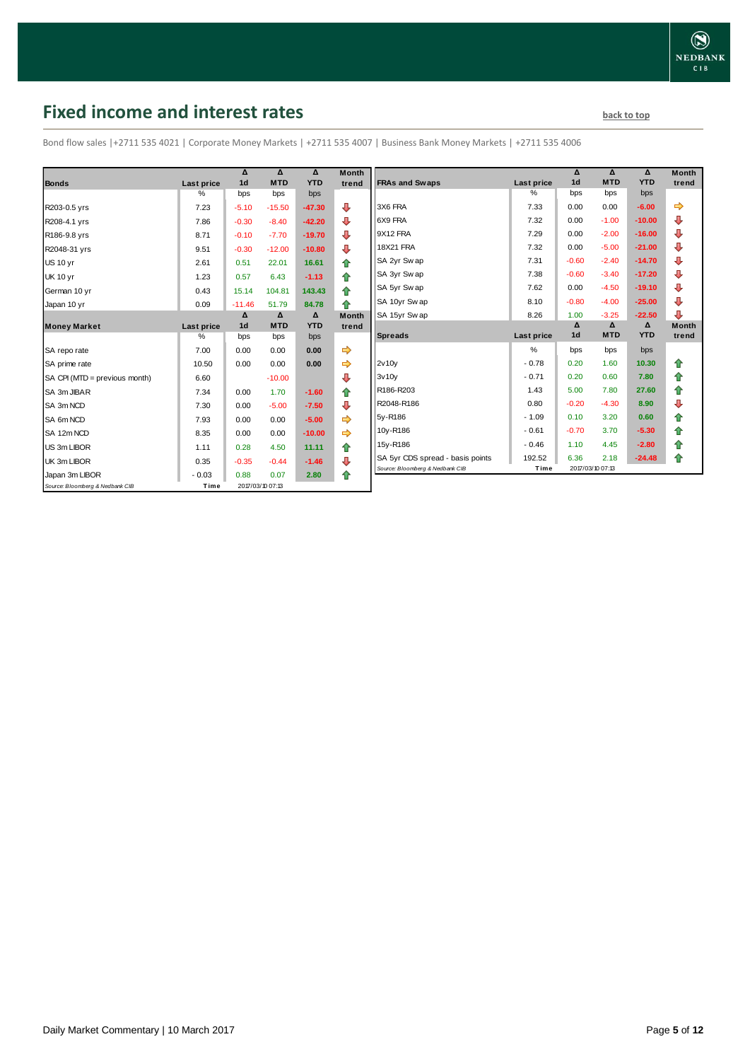## <span id="page-4-0"></span>**Fixed income and interest rates back to the line of the set of the set of the set of the set of the set of the set of the set of the set of the set of the set of the set of the set of the set of the set of the set of th**

Bond flow sales |+2711 535 4021 | Corporate Money Markets | +2711 535 4007 | Business Bank Money Markets | +2711 535 4006

|                                 |            | Δ<br>1 <sub>d</sub> | Δ                | Δ<br><b>YTD</b> | <b>Month</b> |
|---------------------------------|------------|---------------------|------------------|-----------------|--------------|
| <b>Bonds</b>                    | Last price |                     | <b>MTD</b>       |                 | trend        |
|                                 | %          | bps                 | bps              | bps             |              |
| R203-0.5 yrs                    | 7.23       | $-5.10$             | $-15.50$         | $-47.30$        | ⊕            |
| R208-4.1 yrs                    | 7.86       | $-0.30$             | $-8.40$          | $-42.20$        | ⊕            |
| R186-9.8 yrs                    | 8.71       | $-0.10$             | $-7.70$          | $-19.70$        | ⊕            |
| R2048-31 yrs                    | 9.51       | $-0.30$             | $-12.00$         | $-10.80$        | ⇩            |
| <b>US 10 yr</b>                 | 2.61       | 0.51                | 22.01            | 16.61           | 合            |
| <b>UK 10 yr</b>                 | 1.23       | 0.57                | 6.43             | $-1.13$         | ⇑            |
| German 10 yr                    | 0.43       | 15.14               | 104.81           | 143.43          | ⇑            |
| Japan 10 yr                     | 0.09       | $-11.46$            | 51.79            | 84.78           | 全            |
|                                 |            | Δ                   | $\Delta$         | Δ               | <b>Month</b> |
| <b>Money Market</b>             | Last price | 1 <sub>d</sub>      | <b>MTD</b>       | <b>YTD</b>      | trend        |
|                                 | $\%$       | bps                 | bps              | bps             |              |
| SA repo rate                    | 7.00       | 0.00                | 0.00             | 0.00            | ⇨            |
| SA prime rate                   | 10.50      | 0.00                | 0.00             | 0.00            | ⇨            |
| SA CPI (MTD = previous month)   | 6.60       |                     | $-10.00$         |                 | ⊕            |
| SA 3m JIBAR                     | 7.34       | 0.00                | 1.70             | $-1.60$         | 合            |
| SA 3m NCD                       | 7.30       | 0.00                | $-5.00$          | $-7.50$         | ⊕            |
| SA 6m NCD                       | 7.93       | 0.00                | 0.00             | $-5.00$         |              |
| SA 12m NCD                      | 8.35       | 0.00                | 0.00             | $-10.00$        | ⇨            |
| US 3m LIBOR                     | 1.11       | 0.28                | 4.50             | 11.11           | ⇑            |
| UK 3m LIBOR                     | 0.35       | $-0.35$             | $-0.44$          | $-1.46$         | ⊕            |
| Japan 3m LIBOR                  | $-0.03$    | 0.88                | 0.07             | 2.80            | ⇮            |
| Source: Bloomberg & Nedbank CIB | Time       |                     | 2017/03/10 07:13 |                 |              |

|                                  |            | Δ              | Δ          | Δ          | <b>Month</b> |
|----------------------------------|------------|----------------|------------|------------|--------------|
| <b>FRAs and Swaps</b>            | Last price | 1 <sub>d</sub> | <b>MTD</b> | <b>YTD</b> | trend        |
|                                  | %          | bps            | bps        | bps        |              |
| 3X6 FRA                          | 7.33       | 0.00           | 0.00       | $-6.00$    |              |
| 6X9 FRA                          | 7.32       | 0.00           | $-1.00$    | $-10.00$   | ⊕            |
| 9X12 FRA                         | 7.29       | 0.00           | $-2.00$    | $-16.00$   | ⊕            |
| <b>18X21 FRA</b>                 | 7.32       | 0.00           | $-5.00$    | $-21.00$   | ⊕            |
| SA 2yr Sw ap                     | 7.31       | $-0.60$        | $-2.40$    | $-14.70$   | ⊕            |
| SA 3yr Sw ap                     | 7.38       | $-0.60$        | $-3.40$    | $-17.20$   | ⊕            |
| SA 5yr Sw ap                     | 7.62       | 0.00           | $-4.50$    | $-19.10$   | ⊕            |
| SA 10yr Sw ap                    | 8.10       | $-0.80$        | $-4.00$    | $-25.00$   | ⊕            |
| SA 15yr Swap                     | 8.26       | 1.00           | $-3.25$    | $-22.50$   | ⊕            |
|                                  |            | Δ              | Δ          | Δ          | <b>Month</b> |
|                                  |            |                |            |            |              |
| <b>Spreads</b>                   | Last price | 1 <sub>d</sub> | <b>MTD</b> | <b>YTD</b> | trend        |
|                                  | %          | bps            | bps        | bps        |              |
| 2v10v                            | $-0.78$    | 0.20           | 1.60       | 10.30      | ⇑            |
| 3v10v                            | $-0.71$    | 0.20           | 0.60       | 7.80       | ⇮            |
| R186-R203                        | 1.43       | 5.00           | 7.80       | 27.60      | 合            |
| R2048-R186                       | 0.80       | $-0.20$        | $-4.30$    | 8.90       | ⊕            |
| 5y-R186                          | $-1.09$    | 0.10           | 3.20       | 0.60       | ✿            |
| 10y-R186                         | $-0.61$    | $-0.70$        | 3.70       | $-5.30$    | 合            |
| 15y-R186                         | $-0.46$    | 1.10           | 4.45       | $-2.80$    | 合            |
| SA 5yr CDS spread - basis points | 192.52     | 6.36           | 2.18       | $-24.48$   | ⇮            |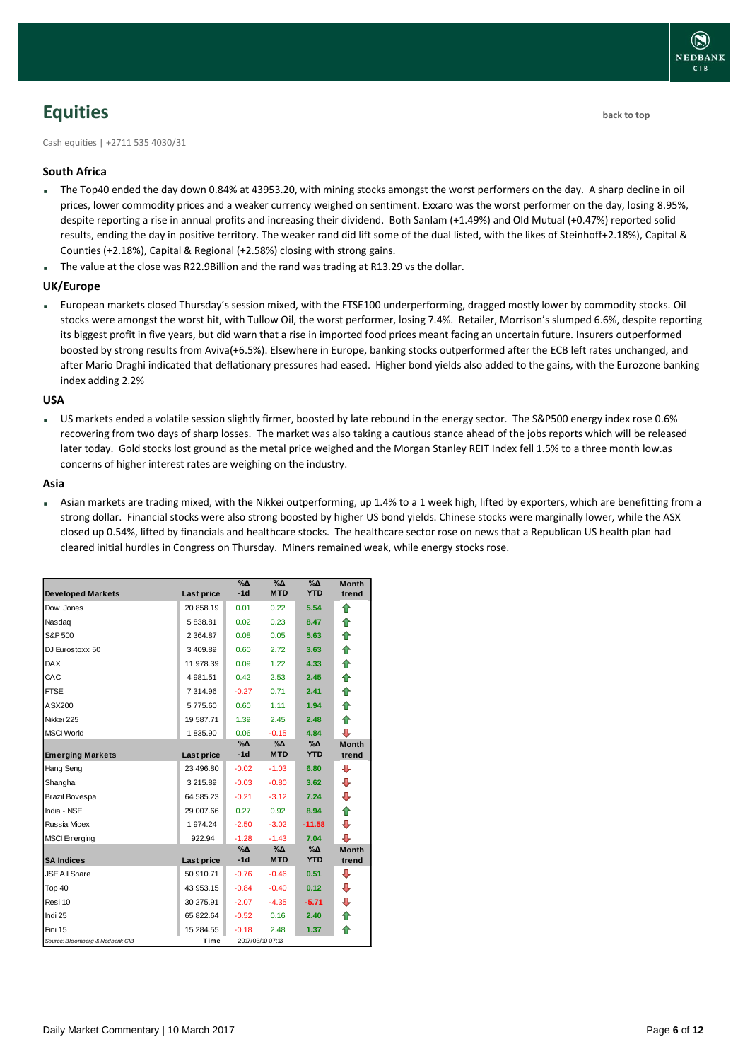# <span id="page-5-0"></span>**Equities [back to top](#page-0-0)**

Cash equities | +2711 535 4030/31

### **South Africa**

- The Top40 ended the day down 0.84% at 43953.20, with mining stocks amongst the worst performers on the day. A sharp decline in oil prices, lower commodity prices and a weaker currency weighed on sentiment. Exxaro was the worst performer on the day, losing 8.95%, despite reporting a rise in annual profits and increasing their dividend. Both Sanlam (+1.49%) and Old Mutual (+0.47%) reported solid results, ending the day in positive territory. The weaker rand did lift some of the dual listed, with the likes of Steinhoff+2.18%), Capital & Counties (+2.18%), Capital & Regional (+2.58%) closing with strong gains.
- The value at the close was R22.9Billion and the rand was trading at R13.29 vs the dollar.

#### **UK/Europe**

 European markets closed Thursday's session mixed, with the FTSE100 underperforming, dragged mostly lower by commodity stocks. Oil stocks were amongst the worst hit, with Tullow Oil, the worst performer, losing 7.4%. Retailer, Morrison's slumped 6.6%, despite reporting its biggest profit in five years, but did warn that a rise in imported food prices meant facing an uncertain future. Insurers outperformed boosted by strong results from Aviva(+6.5%). Elsewhere in Europe, banking stocks outperformed after the ECB left rates unchanged, and after Mario Draghi indicated that deflationary pressures had eased. Higher bond yields also added to the gains, with the Eurozone banking index adding 2.2%

#### **USA**

 US markets ended a volatile session slightly firmer, boosted by late rebound in the energy sector. The S&P500 energy index rose 0.6% recovering from two days of sharp losses. The market was also taking a cautious stance ahead of the jobs reports which will be released later today. Gold stocks lost ground as the metal price weighed and the Morgan Stanley REIT Index fell 1.5% to a three month low.as concerns of higher interest rates are weighing on the industry.

#### **Asia**

 Asian markets are trading mixed, with the Nikkei outperforming, up 1.4% to a 1 week high, lifted by exporters, which are benefitting from a strong dollar. Financial stocks were also strong boosted by higher US bond yields. Chinese stocks were marginally lower, while the ASX closed up 0.54%, lifted by financials and healthcare stocks. The healthcare sector rose on news that a Republican US health plan had cleared initial hurdles in Congress on Thursday. Miners remained weak, while energy stocks rose.

| <b>Developed Markets</b>        | Last price | $\Delta_0$<br>$-1d$ | $\sqrt{2}$<br><b>MTD</b> | $\sqrt{20}$<br><b>YTD</b> | Month<br>trend |
|---------------------------------|------------|---------------------|--------------------------|---------------------------|----------------|
| Dow Jones                       | 20 858.19  | 0.01                | 0.22                     | 5.54                      | ⇑              |
| Nasdag                          | 5838.81    | 0.02                | 0.23                     | 8.47                      | ⇑              |
| S&P 500                         | 2 3 64.87  | 0.08                | 0.05                     | 5.63                      | ⇮              |
| DJ Eurostoxx 50                 | 3409.89    | 0.60                | 2.72                     | 3.63                      | ⇑              |
| <b>DAX</b>                      | 11 978.39  | 0.09                | 1.22                     | 4.33                      | 合              |
| CAC                             | 4 981.51   | 0.42                | 2.53                     | 2.45                      | ⇮              |
| <b>FTSE</b>                     | 7 314.96   | $-0.27$             | 0.71                     | 2.41                      | ♠              |
| ASX200                          | 5775.60    | 0.60                | 1.11                     | 1.94                      | ⇑              |
| Nikkei 225                      | 19 587.71  | 1.39                | 2.45                     | 2.48                      | 合              |
| <b>MSCI World</b>               | 1835.90    | 0.06                | $-0.15$                  | 4.84                      | ⊕              |
|                                 |            | %Δ                  | %Δ                       | $\%$ $\Delta$             | <b>Month</b>   |
| <b>Emerging Markets</b>         | Last price | $-1d$               | <b>MTD</b>               | <b>YTD</b>                | trend          |
| Hang Seng                       | 23 496.80  | $-0.02$             | $-1.03$                  | 6.80                      | ⊕              |
| Shanghai                        | 3 215.89   | $-0.03$             | $-0.80$                  | 3.62                      | ⊕              |
| Brazil Bovespa                  | 64 585.23  | $-0.21$             | $-3.12$                  | 7.24                      | ⊕              |
| India - NSE                     | 29 007.66  | 0.27                | 0.92                     | 8.94                      | ⇮              |
| Russia Micex                    | 1 974.24   | $-2.50$             | $-3.02$                  | $-11.58$                  | ⊕              |
| <b>MSCI</b> Emerging            | 922.94     | $-1.28$             | $-1.43$                  | 7.04                      | ⊕              |
|                                 |            | %∆                  | %Δ                       | %Δ                        | <b>Month</b>   |
| <b>SA Indices</b>               | Last price | $-1d$               | <b>MTD</b>               | <b>YTD</b>                | trend          |
| <b>JSE All Share</b>            | 50 910.71  | $-0.76$             | $-0.46$                  | 0.51                      | ⊕              |
| Top 40                          | 43 953.15  | $-0.84$             | $-0.40$                  | 0.12                      | ⊕              |
| Resi 10                         | 30 275.91  | $-2.07$             | $-4.35$                  | $-5.71$                   | ⊕              |
| Indi 25                         | 65 822.64  | $-0.52$             | 0.16                     | 2.40                      | ⇑              |
| Fini 15                         | 15 284.55  | $-0.18$             | 2.48                     | 1.37                      | ♠              |
| Source: Bloomberg & Nedbank CIB | Time       |                     | 2017/03/10 07:13         |                           |                |

**NEDBANK**  $CIB$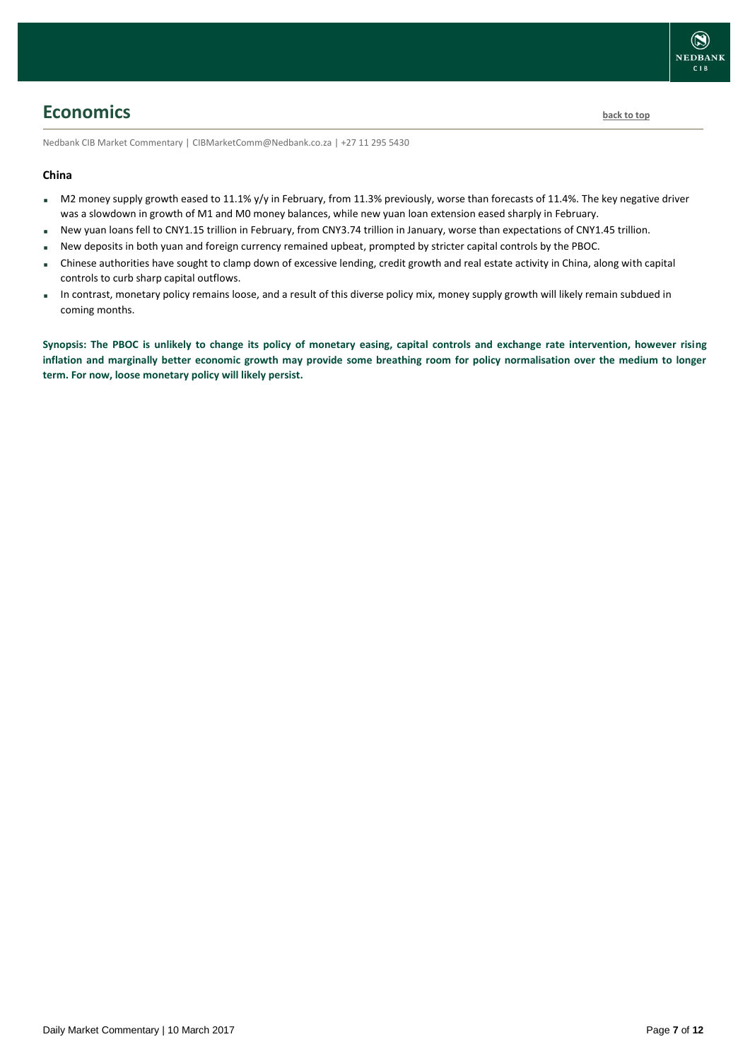## <span id="page-6-0"></span>**Economics [back to top](#page-0-0)**

Nedbank CIB Market Commentary | CIBMarketComm@Nedbank.co.za | +27 11 295 5430

### **China**

- M2 money supply growth eased to 11.1% y/y in February, from 11.3% previously, worse than forecasts of 11.4%. The key negative driver was a slowdown in growth of M1 and M0 money balances, while new yuan loan extension eased sharply in February.
- New yuan loans fell to CNY1.15 trillion in February, from CNY3.74 trillion in January, worse than expectations of CNY1.45 trillion.
- New deposits in both yuan and foreign currency remained upbeat, prompted by stricter capital controls by the PBOC.
- Chinese authorities have sought to clamp down of excessive lending, credit growth and real estate activity in China, along with capital controls to curb sharp capital outflows.
- In contrast, monetary policy remains loose, and a result of this diverse policy mix, money supply growth will likely remain subdued in coming months.

**Synopsis: The PBOC is unlikely to change its policy of monetary easing, capital controls and exchange rate intervention, however rising inflation and marginally better economic growth may provide some breathing room for policy normalisation over the medium to longer term. For now, loose monetary policy will likely persist.**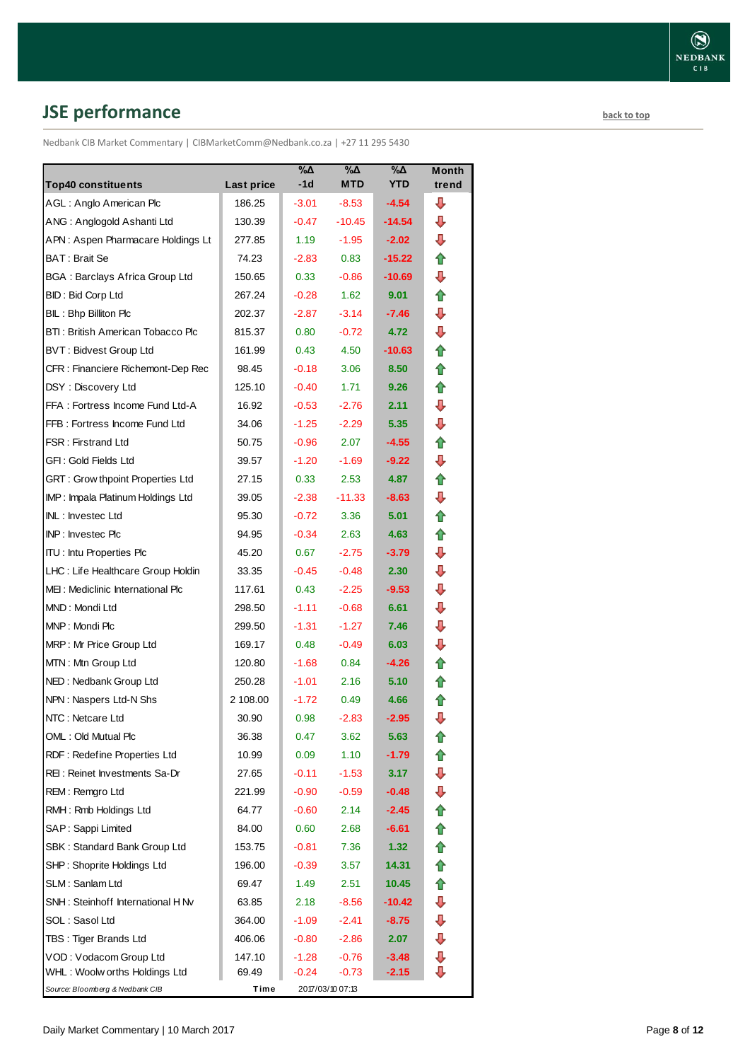# <span id="page-7-0"></span>**JSE performance [back to top](#page-0-0)**

Nedbank CIB Market Commentary | CIBMarketComm@Nedbank.co.za | +27 11 295 5430

|                                       |            | %Δ<br>$-1d$ | %Δ               | %Δ<br><b>YTD</b>  | Month |
|---------------------------------------|------------|-------------|------------------|-------------------|-------|
| <b>Top40 constituents</b>             | Last price |             | <b>MTD</b>       |                   | trend |
| AGL: Anglo American Plc               | 186.25     | $-3.01$     | $-8.53$          | -4.54             | ⊕     |
| ANG: Anglogold Ashanti Ltd            | 130.39     | $-0.47$     | $-10.45$         | -14.54            | ⊕     |
| APN: Aspen Pharmacare Holdings Lt     | 277.85     | 1.19        | $-1.95$          | $-2.02$           | ⊕     |
| BAT: Brait Se                         | 74.23      | $-2.83$     | 0.83             | $-15.22$          | ⇑     |
| <b>BGA: Barclays Africa Group Ltd</b> | 150.65     | 0.33        | $-0.86$          | -10.69            | ⇩     |
| <b>BID: Bid Corp Ltd</b>              | 267.24     | $-0.28$     | 1.62             | 9.01              | ✿     |
| BIL: Bhp Billiton Plc                 | 202.37     | $-2.87$     | $-3.14$          | $-7.46$           | ⇩     |
| BTI: British American Tobacco Plc     | 815.37     | 0.80        | $-0.72$          | 4.72              | ⊕     |
| <b>BVT: Bidvest Group Ltd</b>         | 161.99     | 0.43        | 4.50             | $-10.63$          | ⇑     |
| CFR : Financiere Richemont-Dep Rec    | 98.45      | $-0.18$     | 3.06             | 8.50              | ⇑     |
| DSY: Discovery Ltd                    | 125.10     | $-0.40$     | 1.71             | 9.26              | ✿     |
| FFA: Fortress Income Fund Ltd-A       | 16.92      | $-0.53$     | $-2.76$          | 2.11              | ⇩     |
| FFB: Fortress Income Fund Ltd         | 34.06      | $-1.25$     | $-2.29$          | 5.35              | ⇩     |
| <b>FSR: Firstrand Ltd</b>             | 50.75      | $-0.96$     | 2.07             | $-4.55$           | 合     |
| GFI: Gold Fields Ltd                  | 39.57      | $-1.20$     | $-1.69$          | $-9.22$           | ⊕     |
| GRT : Grow thpoint Properties Ltd     | 27.15      | 0.33        | 2.53             | 4.87              | ✿     |
| IMP: Impala Platinum Holdings Ltd     | 39.05      | $-2.38$     | $-11.33$         | $-8.63$           | ⊕     |
| INL: Investec Ltd                     | 95.30      | $-0.72$     | 3.36             | 5.01              | ⇑     |
| INP: Investec Plc                     | 94.95      | $-0.34$     | 2.63             | 4.63              | ⇑     |
| <b>ITU: Intu Properties Plc</b>       | 45.20      | 0.67        | $-2.75$          | $-3.79$           | ⇩     |
| LHC: Life Healthcare Group Holdin     | 33.35      | $-0.45$     | $-0.48$          | 2.30              | ⇩     |
| MEI: Mediclinic International Plc     | 117.61     | 0.43        | $-2.25$          | $-9.53$           | ⊕     |
| MND: Mondi Ltd                        | 298.50     | $-1.11$     | $-0.68$          | 6.61              | ⊕     |
| MNP: Mondi Plc                        | 299.50     | $-1.31$     | $-1.27$          | 7.46              | ⊕     |
| MRP: Mr Price Group Ltd               | 169.17     | 0.48        | $-0.49$          | 6.03              | ⊕     |
| MTN: Mtn Group Ltd                    | 120.80     | $-1.68$     | 0.84             | $-4.26$           | ⇑     |
| NED: Nedbank Group Ltd                | 250.28     | $-1.01$     | 2.16             | 5.10              | ⇑     |
| NPN: Naspers Ltd-N Shs                | 2 108.00   | $-1.72$     | 0.49             | 4.66              | ⇧     |
| NTC: Netcare Ltd                      | 30.90      | 0.98        | $-2.83$          | $-2.95$           | ⇩     |
| OML: Old Mutual Plc                   | 36.38      | 0.47        | 3.62             | 5.63              | t     |
| RDF: Redefine Properties Ltd          | 10.99      | 0.09        | 1.10             | -1.79             |       |
| REI: Reinet Investments Sa-Dr         | 27.65      | $-0.11$     | $-1.53$          | 3.17              | ⊕     |
| REM: Remgro Ltd                       | 221.99     | $-0.90$     | $-0.59$          | $-0.48$           | ⇩     |
| RMH: Rmb Holdings Ltd                 | 64.77      | $-0.60$     | 2.14             | $-2.45$           | ⇑     |
| SAP: Sappi Limited                    | 84.00      | 0.60        | 2.68             | -6.61             | 合     |
| SBK: Standard Bank Group Ltd          | 153.75     | $-0.81$     | 7.36             | 1.32 <sub>1</sub> | 合     |
| SHP: Shoprite Holdings Ltd            | 196.00     | $-0.39$     | 3.57             | 14.31             | 合     |
| SLM: Sanlam Ltd                       | 69.47      | 1.49        | 2.51             | 10.45             | ⇑     |
| SNH: Steinhoff International H Nv     | 63.85      | 2.18        | $-8.56$          | -10.42            | ⊕     |
| SOL: Sasol Ltd                        | 364.00     | $-1.09$     | $-2.41$          | $-8.75$           | ⊕     |
| TBS: Tiger Brands Ltd                 | 406.06     | $-0.80$     | $-2.86$          | 2.07              | ⇩     |
| VOD: Vodacom Group Ltd                | 147.10     | $-1.28$     | $-0.76$          | $-3.48$           | ⇩     |
| WHL: Woolw orths Holdings Ltd         | 69.49      | $-0.24$     | $-0.73$          | $-2.15$           | ⊕     |
| Source: Bloomberg & Nedbank CIB       | Time       |             | 2017/03/10 07:13 |                   |       |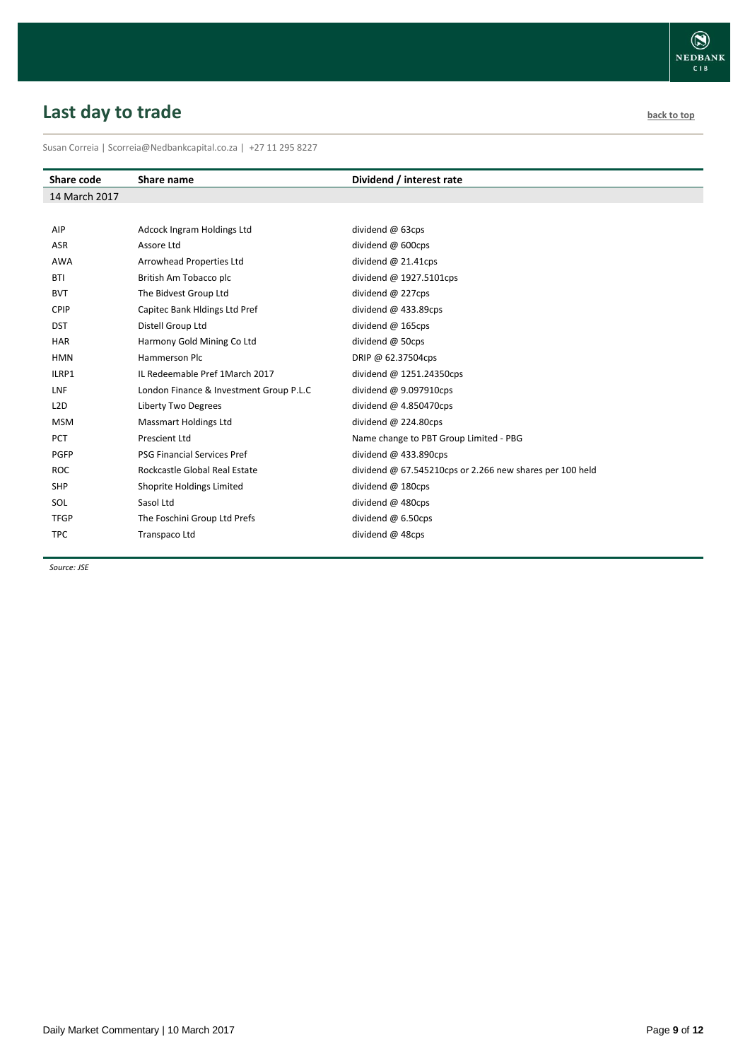# <span id="page-8-0"></span>**Last day to trade back to the contract of the contract of the contract of the contract of the contract of the contract of the contract of the contract of the contract of the contract of the contract of the contract of t**

Susan Correia | [Scorreia@Nedbankcapital.co.za](mailto:Scorreia@Nedbankcapital.co.za) | +27 11 295 8227

| Share code       | Share name                              | Dividend / interest rate                                   |
|------------------|-----------------------------------------|------------------------------------------------------------|
| 14 March 2017    |                                         |                                                            |
|                  |                                         |                                                            |
| AIP              | Adcock Ingram Holdings Ltd              | dividend @ 63cps                                           |
| <b>ASR</b>       | Assore Ltd                              | dividend @ 600cps                                          |
| <b>AWA</b>       | Arrowhead Properties Ltd                | dividend $@$ 21.41cps                                      |
| <b>BTI</b>       | British Am Tobacco plc                  | dividend $@$ 1927.5101cps                                  |
| <b>BVT</b>       | The Bidvest Group Ltd                   | dividend @ 227cps                                          |
| <b>CPIP</b>      | Capitec Bank Hidings Ltd Pref           | dividend $@$ 433.89cps                                     |
| <b>DST</b>       | Distell Group Ltd                       | dividend $@$ 165cps                                        |
| <b>HAR</b>       | Harmony Gold Mining Co Ltd              | dividend @ 50cps                                           |
| <b>HMN</b>       | <b>Hammerson Plc</b>                    | DRIP @ 62.37504cps                                         |
| ILRP1            | IL Redeemable Pref 1 March 2017         | dividend @ 1251.24350cps                                   |
| <b>LNF</b>       | London Finance & Investment Group P.L.C | dividend $@9.097910cps$                                    |
| L <sub>2</sub> D | Liberty Two Degrees                     | dividend $@$ 4.850470cps                                   |
| <b>MSM</b>       | <b>Massmart Holdings Ltd</b>            | dividend $@$ 224.80cps                                     |
| <b>PCT</b>       | <b>Prescient Ltd</b>                    | Name change to PBT Group Limited - PBG                     |
| <b>PGFP</b>      | <b>PSG Financial Services Pref</b>      | dividend $@$ 433.890cps                                    |
| <b>ROC</b>       | Rockcastle Global Real Estate           | dividend $@$ 67.545210cps or 2.266 new shares per 100 held |
| <b>SHP</b>       | Shoprite Holdings Limited               | dividend @ 180cps                                          |
| SOL              | Sasol Ltd                               | dividend @ 480cps                                          |
| <b>TFGP</b>      | The Foschini Group Ltd Prefs            | dividend $@$ 6.50cps                                       |
| <b>TPC</b>       | Transpaco Ltd                           | dividend @ 48cps                                           |

*Source: JSE*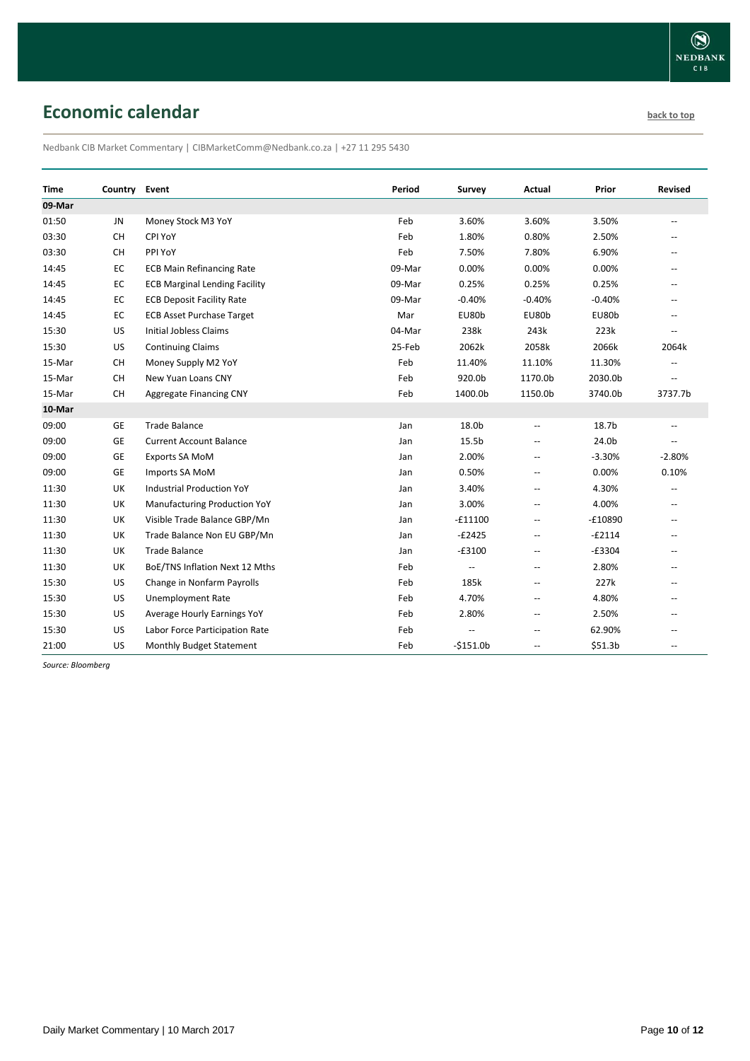# <span id="page-9-0"></span>**Economic calendar [back to top](#page-0-0) back to top**

Nedbank CIB Market Commentary | CIBMarketComm@Nedbank.co.za | +27 11 295 5430

| <b>Time</b> | Country Event |                                      | Period | Survey                   | Actual                                              | Prior               | <b>Revised</b>           |
|-------------|---------------|--------------------------------------|--------|--------------------------|-----------------------------------------------------|---------------------|--------------------------|
| 09-Mar      |               |                                      |        |                          |                                                     |                     |                          |
| 01:50       | JN            | Money Stock M3 YoY                   | Feb    | 3.60%                    | 3.60%                                               | 3.50%               | $\overline{\phantom{a}}$ |
| 03:30       | CH            | CPI YoY                              | Feb    | 1.80%                    | 0.80%                                               | 2.50%               | --                       |
| 03:30       | <b>CH</b>     | PPI YoY                              | Feb    | 7.50%                    | 7.80%                                               | 6.90%               |                          |
| 14:45       | EC            | <b>ECB Main Refinancing Rate</b>     | 09-Mar | 0.00%                    | 0.00%                                               | 0.00%               | --                       |
| 14:45       | EC            | <b>ECB Marginal Lending Facility</b> | 09-Mar | 0.25%                    | 0.25%                                               | 0.25%               | --                       |
| 14:45       | EC            | <b>ECB Deposit Facility Rate</b>     | 09-Mar | $-0.40%$                 | $-0.40%$                                            | $-0.40%$            | $\overline{\phantom{a}}$ |
| 14:45       | EC            | <b>ECB Asset Purchase Target</b>     | Mar    | EU80b                    | EU80b                                               | EU80b               | $\overline{a}$           |
| 15:30       | US            | <b>Initial Jobless Claims</b>        | 04-Mar | 238k                     | 243k                                                | 223k                |                          |
| 15:30       | US            | <b>Continuing Claims</b>             | 25-Feb | 2062k                    | 2058k                                               | 2066k               | 2064k                    |
| 15-Mar      | CH            | Money Supply M2 YoY                  | Feb    | 11.40%                   | 11.10%                                              | 11.30%              | --                       |
| 15-Mar      | CH            | New Yuan Loans CNY                   | Feb    | 920.0b                   | 1170.0b                                             | 2030.0b             | $\overline{\phantom{a}}$ |
| 15-Mar      | CH            | Aggregate Financing CNY              | Feb    | 1400.0b                  | 1150.0b                                             | 3740.0b             | 3737.7b                  |
| 10-Mar      |               |                                      |        |                          |                                                     |                     |                          |
| 09:00       | GE            | <b>Trade Balance</b>                 | Jan    | 18.0b                    | $\overline{\phantom{a}}$                            | 18.7b               |                          |
| 09:00       | GE            | <b>Current Account Balance</b>       | Jan    | 15.5b                    | $\overline{\phantom{a}}$                            | 24.0b               | $-1$                     |
| 09:00       | GE            | Exports SA MoM                       | Jan    | 2.00%                    | $\hspace{0.05cm} -$                                 | $-3.30%$            | $-2.80%$                 |
| 09:00       | GE            | Imports SA MoM                       | Jan    | 0.50%                    | $\hspace{0.05cm} -$                                 | 0.00%               | 0.10%                    |
| 11:30       | UK            | <b>Industrial Production YoY</b>     | Jan    | 3.40%                    | $\hspace{0.05cm} -\hspace{0.05cm} -\hspace{0.05cm}$ | 4.30%               | $\overline{\phantom{a}}$ |
| 11:30       | UK            | <b>Manufacturing Production YoY</b>  | Jan    | 3.00%                    | $\overline{\phantom{a}}$                            | 4.00%               | $\overline{\phantom{a}}$ |
| 11:30       | UK            | Visible Trade Balance GBP/Mn         | Jan    | $-£11100$                | $\overline{\phantom{a}}$                            | $-£10890$           | $\overline{\phantom{a}}$ |
| 11:30       | UK            | Trade Balance Non EU GBP/Mn          | Jan    | $-E2425$                 | $\overline{\phantom{a}}$                            | $-£2114$            | $\overline{a}$           |
| 11:30       | UK            | <b>Trade Balance</b>                 | Jan    | $-£3100$                 | $\overline{a}$                                      | $-£3304$            | $-$                      |
| 11:30       | UK            | BoE/TNS Inflation Next 12 Mths       | Feb    | $\overline{\phantom{a}}$ | $\overline{\phantom{a}}$                            | 2.80%               | --                       |
| 15:30       | US            | Change in Nonfarm Payrolls           | Feb    | 185k                     | $\overline{\phantom{a}}$                            | 227k                | $\overline{\phantom{a}}$ |
| 15:30       | US            | <b>Unemployment Rate</b>             | Feb    | 4.70%                    | $\overline{\phantom{a}}$                            | 4.80%               | $\qquad \qquad -$        |
| 15:30       | US            | Average Hourly Earnings YoY          | Feb    | 2.80%                    | $\overline{\phantom{a}}$                            | 2.50%               | --                       |
| 15:30       | US            | Labor Force Participation Rate       | Feb    |                          | ÷-                                                  | 62.90%              |                          |
| 21:00       | US            | <b>Monthly Budget Statement</b>      | Feb    | $-$151.0b$               | $\overline{\phantom{a}}$                            | \$51.3 <sub>b</sub> | $\overline{\phantom{a}}$ |

*Source: Bloomberg*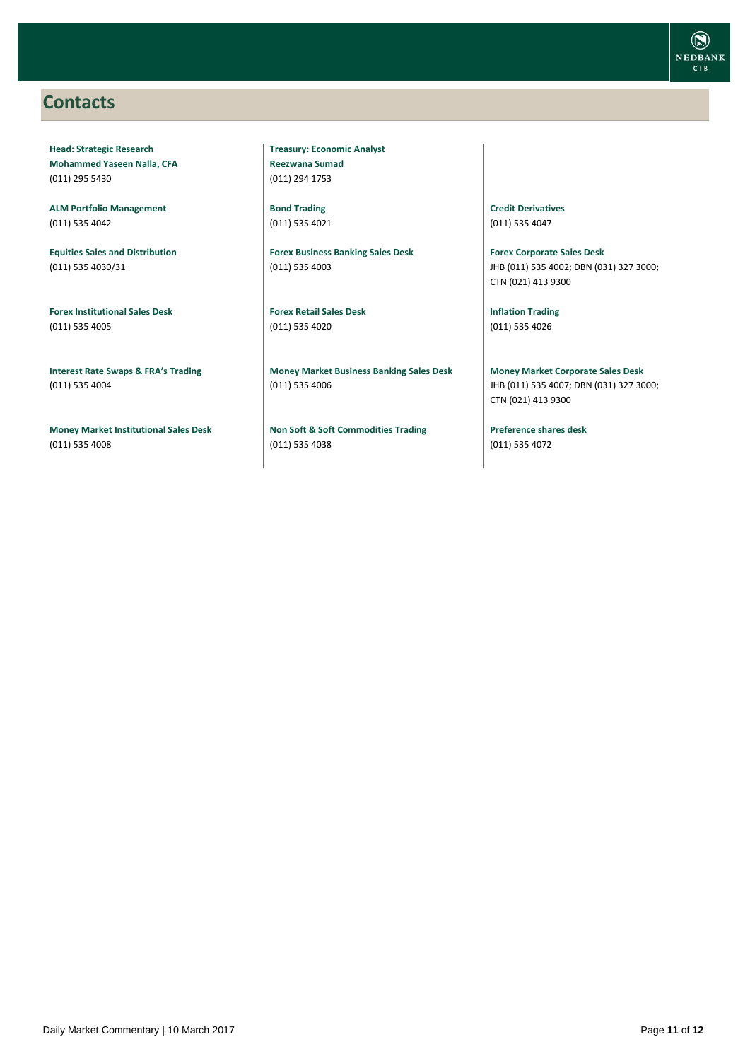### <span id="page-10-0"></span>**Contacts**

**Head: Strategic Research Mohammed Yaseen Nalla, CFA** (011) 295 5430

**ALM Portfolio Management** (011) 535 4042

**Equities Sales and Distribution** (011) 535 4030/31

**Forex Institutional Sales Desk** (011) 535 4005

**Interest Rate Swaps & FRA's Trading** (011) 535 4004

**Money Market Institutional Sales Desk** (011) 535 4008

**Treasury: Economic Analyst Reezwana Sumad** (011) 294 1753

**Bond Trading** (011) 535 4021

**Forex Business Banking Sales Desk** (011) 535 4003

**Forex Retail Sales Desk** (011) 535 4020

**Money Market Business Banking Sales Desk** (011) 535 4006

**Non Soft & Soft Commodities Trading** (011) 535 4038

**Credit Derivatives**  (011) 535 4047

**Forex Corporate Sales Desk** JHB (011) 535 4002; DBN (031) 327 3000; CTN (021) 413 9300

**Inflation Trading** (011) 535 4026

**Money Market Corporate Sales Desk** JHB (011) 535 4007; DBN (031) 327 3000; CTN (021) 413 9300

**Preference shares desk** (011) 535 4072